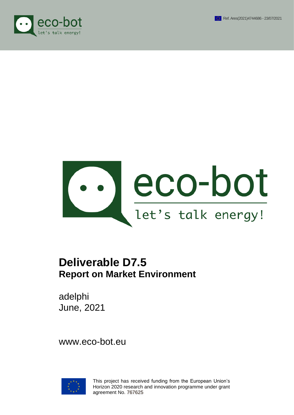





# **Deliverable D7.5 Report on Market Environment**

adelphi June, 2021

www.eco-bot.eu



This project has received funding from the European Union's Horizon 2020 research and innovation programme under grant agreement No. 767625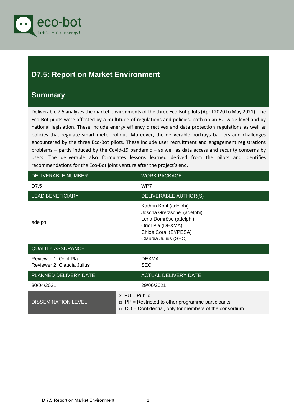

## <span id="page-1-0"></span>**D7.5: Report on Market Environment**

### <span id="page-1-1"></span>**Summary**

Deliverable 7.5 analyses the market environments of the three Eco-Bot pilots (April 2020 to May 2021). The Eco-Bot pilots were affected by a multitude of regulations and policies, both on an EU-wide level and by national legislation. These include energy effiency directives and data protection regulations as well as policies that regulate smart meter rollout. Moreover, the deliverable portrays barriers and challenges encountered by the three Eco-Bot pilots. These include user recruitment and engagement registrations problems – partly induced by the Covid-19 pandemic – as well as data access and security concerns by users. The deliverable also formulates lessons learned derived from the pilots and identifies recommendations for the Eco-Bot joint venture after the project's end.

| DELIVERABLE NUMBER                                  | <b>WORK PACKAGE</b>                                                                                                                                  |
|-----------------------------------------------------|------------------------------------------------------------------------------------------------------------------------------------------------------|
| D7.5                                                | WP7                                                                                                                                                  |
| <b>LEAD BENEFICIARY</b>                             | DELIVERABLE AUTHOR(S)                                                                                                                                |
| adelphi                                             | Kathrin Kohl (adelphi)<br>Joscha Gretzschel (adelphi)<br>Lena Domröse (adelphi)<br>Oriol Pla (DEXMA)<br>Chloé Coral (EYPESA)<br>Claudia Julius (SEC) |
| <b>QUALITY ASSURANCE</b>                            |                                                                                                                                                      |
| Reviewer 1: Oriol Pla<br>Reviewer 2: Claudia Julius | <b>DEXMA</b><br><b>SEC</b>                                                                                                                           |
| PLANNED DELIVERY DATE                               | <b>ACTUAL DELIVERY DATE</b>                                                                                                                          |
| 30/04/2021                                          | 29/06/2021                                                                                                                                           |
| <b>DISSEMINATION LEVEL</b>                          | $x$ PU = Public<br>$\Box$ PP = Restricted to other programme participants<br>$\Box$ CO = Confidential, only for members of the consortium            |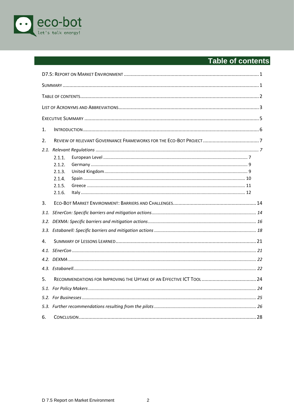

# <span id="page-2-0"></span>Table of contents

| 1.   |        |  |  |
|------|--------|--|--|
| 2.   |        |  |  |
| 2.1. |        |  |  |
|      | 2.1.1. |  |  |
|      | 2.1.2. |  |  |
|      | 2.1.3. |  |  |
|      | 2.1.4. |  |  |
|      | 2.1.5. |  |  |
|      | 2.1.6. |  |  |
| 3.   |        |  |  |
|      |        |  |  |
|      |        |  |  |
|      |        |  |  |
| 4.   |        |  |  |
|      |        |  |  |
|      |        |  |  |
|      |        |  |  |
| 5.   |        |  |  |
|      |        |  |  |
|      |        |  |  |
|      |        |  |  |
| 6.   |        |  |  |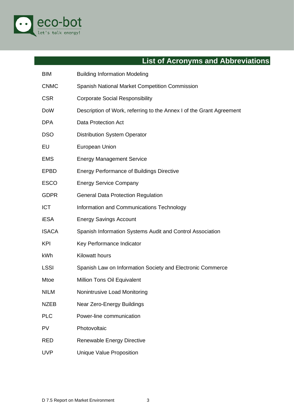

# **List of Acronyms and Abbreviations**

<span id="page-3-0"></span>

| <b>BIM</b>   | <b>Building Information Modeling</b>                                 |
|--------------|----------------------------------------------------------------------|
| <b>CNMC</b>  | Spanish National Market Competition Commission                       |
| <b>CSR</b>   | <b>Corporate Social Responsibility</b>                               |
| <b>DoW</b>   | Description of Work, referring to the Annex I of the Grant Agreement |
| <b>DPA</b>   | Data Protection Act                                                  |
| <b>DSO</b>   | <b>Distribution System Operator</b>                                  |
| EU           | European Union                                                       |
| <b>EMS</b>   | <b>Energy Management Service</b>                                     |
| <b>EPBD</b>  | <b>Energy Performance of Buildings Directive</b>                     |
| <b>ESCO</b>  | <b>Energy Service Company</b>                                        |
| <b>GDPR</b>  | <b>General Data Protection Regulation</b>                            |
| <b>ICT</b>   | Information and Communications Technology                            |
| <b>iESA</b>  | <b>Energy Savings Account</b>                                        |
| <b>ISACA</b> | Spanish Information Systems Audit and Control Association            |
| <b>KPI</b>   | Key Performance Indicator                                            |
| kWh          | Kilowatt hours                                                       |
| <b>LSSI</b>  | Spanish Law on Information Society and Electronic Commerce           |
| Mtoe         | Million Tons Oil Equivalent                                          |
| <b>NILM</b>  | Nonintrusive Load Monitoring                                         |
| <b>NZEB</b>  | Near Zero-Energy Buildings                                           |
| <b>PLC</b>   | Power-line communication                                             |
| <b>PV</b>    | Photovoltaic                                                         |
| <b>RED</b>   | Renewable Energy Directive                                           |
| <b>UVP</b>   | <b>Unique Value Proposition</b>                                      |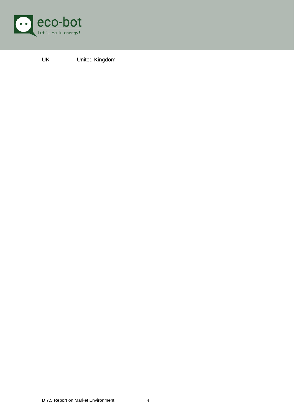

UK United Kingdom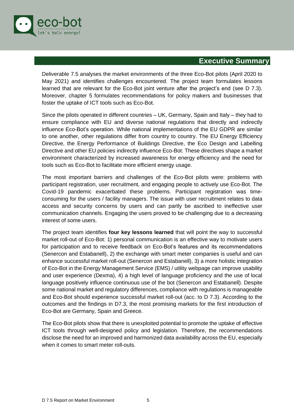

### **Executive Summary**

<span id="page-5-0"></span>Deliverable 7.5 analyses the market environments of the three Eco-Bot pilots (April 2020 to May 2021) and identifies challenges encountered. The project team formulates lessons learned that are relevant for the Eco-Bot joint venture after the project's end (see D 7.3). Moreover, chapter 5 formulates recommendations for policy makers and businesses that foster the uptake of ICT tools such as Eco-Bot.

Since the pilots operated in different countries – UK, Germany, Spain and Italy – they had to ensure compliance with EU and diverse national regulations that directly and indirectly influence Eco-Bot's operation. While national implementations of the EU GDPR are similar to one another, other regulations differ from country to country. The EU Energy Efficiency Directive, the Energy Performance of Buildings Directive, the Eco Design and Labelling Directive and other EU policies indirectly influence Eco-Bot. These directives shape a market environment characterized by increased awareness for energy efficiency and the need for tools such as Eco-Bot to facilitate more efficient energy usage.

The most important barriers and challenges of the Eco-Bot pilots were: problems with participant registration, user recruitment, and engaging people to actively use Eco-Bot. The Covid-19 pandemic exacerbated these problems. Participant registration was timeconsuming for the users / facility managers. The issue with user recruitment relates to data access and security concerns by users and can partly be ascribed to ineffective user communication channels. Engaging the users proved to be challenging due to a decreasing interest of some users.

The project team identifies **four key lessons learned** that will point the way to successful market roll-out of Eco-Bot: 1) personal communication is an effective way to motivate users for participation and to receive feedback on Eco-Bot's features and its recommendations (Senercon and Estabanell), 2) the exchange with smart meter companies is useful and can enhance successful market roll-out (Senercon and Estabanell), 3) a more holistic integration of Eco-Bot in the Energy Management Service (EMS) / utility webpage can improve usability and user experience (Dexma), 4) a high level of language proficiency and the use of local language positively influence continuous use of the bot (Senercon and Estabanell). Despite some national market and regulatory differences, compliance with regulations is manageable and Eco-Bot should experience successful market roll-out (acc. to D 7.3). According to the outcomes and the findings in D7.3, the most promising markets for the first introduction of Eco-Bot are Germany, Spain and Greece.

The Eco-Bot pilots show that there is unexploited potential to promote the uptake of effective ICT tools through well-designed policy and legislation. Therefore, the recommendations disclose the need for an improved and harmonized data availability across the EU, especially when it comes to smart meter roll-outs.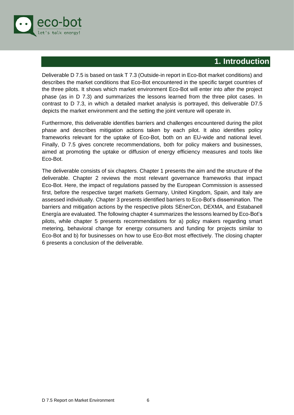

### **1. Introduction**

<span id="page-6-0"></span>Deliverable D 7.5 is based on task T 7.3 (Outside-in report in Eco-Bot market conditions) and describes the market conditions that Eco-Bot encountered in the specific target countries of the three pilots. It shows which market environment Eco-Bot will enter into after the project phase (as in D 7.3) and summarizes the lessons learned from the three pilot cases. In contrast to D 7.3, in which a detailed market analysis is portrayed, this deliverable D7.5 depicts the market environment and the setting the joint venture will operate in.

Furthermore, this deliverable identifies barriers and challenges encountered during the pilot phase and describes mitigation actions taken by each pilot. It also identifies policy frameworks relevant for the uptake of Eco-Bot, both on an EU-wide and national level. Finally, D 7.5 gives concrete recommendations, both for policy makers and businesses, aimed at promoting the uptake or diffusion of energy efficiency measures and tools like Eco-Bot.

The deliverable consists of six chapters. Chapter 1 presents the aim and the structure of the deliverable. Chapter 2 reviews the most relevant governance frameworks that impact Eco-Bot. Here, the impact of regulations passed by the European Commission is assessed first, before the respective target markets Germany, United Kingdom, Spain, and Italy are assessed individually. Chapter 3 presents identified barriers to Eco-Bot's dissemination. The barriers and mitigation actions by the respective pilots SEnerCon, DEXMA, and Estabanell Energía are evaluated. The following chapter 4 summarizes the lessons learned by Eco-Bot's pilots, while chapter 5 presents recommendations for a) policy makers regarding smart metering, behavioral change for energy consumers and funding for projects similar to Eco-Bot and b) for businesses on how to use Eco-Bot most effectively. The closing chapter 6 presents a conclusion of the deliverable.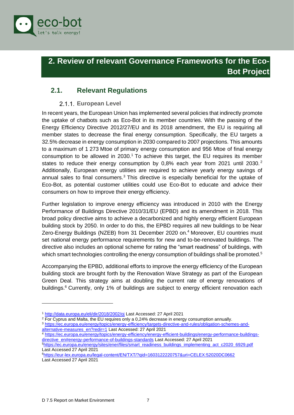

# <span id="page-7-0"></span>**2. Review of relevant Governance Frameworks for the Eco-Bot Project**

### <span id="page-7-1"></span>**2.1. Relevant Regulations**

### **European Level**

<span id="page-7-2"></span>In recent years, the European Union has implemented several policies that indirectly promote the uptake of chatbots such as Eco-Bot in its member countries. With the passing of the Energy Efficiency Directive 2012/27/EU and its 2018 amendment, the EU is requiring all member states to decrease the final energy consumption. Specifically, the EU targets a 32.5% decrease in energy consumption in 2030 compared to 2007 projections. This amounts to a maximum of 1 273 Mtoe of primary energy consumption and 956 Mtoe of final energy consumption to be allowed in 2030. <sup>1</sup> To achieve this target, the EU requires its member states to reduce their energy consumption by  $0,8\%$  each year from 2021 until 2030.<sup>2</sup> Additionally, European energy utilities are required to achieve yearly energy savings of annual sales to final consumers.<sup>3</sup> This directive is especially beneficial for the uptake of Eco-Bot, as potential customer utilities could use Eco-Bot to educate and advice their consumers on how to improve their energy efficiency.

Further legislation to improve energy efficiency was introduced in 2010 with the Energy Performance of Buildings Directive 2010/31/EU (EPBD) and its amendment in 2018. This broad policy directive aims to achieve a decarbonized and highly energy efficient European building stock by 2050. In order to do this, the EPBD requires all new buildings to be Near Zero-Energy Buildings (NZEB) from 31 December 2020 on.<sup>4</sup> Moreover, EU countries must set national energy performance requirements for new and to-be-renovated buildings. The directive also includes an optional scheme for rating the "smart readiness" of buildings, with which smart technologies controlling the energy consumption of buildings shall be promoted.<sup>5</sup>

Accompanying the EPBD, additional efforts to improve the energy efficiency of the European building stock are brought forth by the Renovation Wave Strategy as part of the European Green Deal. This strategy aims at doubling the current rate of energy renovations of buildings.<sup>6</sup> Currently, only 1% of buildings are subject to energy efficient renovation each

<sup>5</sup>[https://ec.europa.eu/energy/sites/ener/files/smart\\_readiness\\_buildings\\_implementing\\_act\\_c2020\\_6929.pdf](https://ec.europa.eu/energy/sites/ener/files/smart_readiness_buildings_implementing_act_c2020_6929.pdf) Last Accessed 27 April 2021

<sup>1</sup> <http://data.europa.eu/eli/dir/2018/2002/oj> Last Accessed: 27 April 2021

<sup>&</sup>lt;sup>2</sup> For Cyprus and Malta, the EU requires only a 0,24% decrease in energy consumption annually.

<sup>3</sup> [https://ec.europa.eu/energy/topics/energy-efficiency/targets-directive-and-rules/obligation-schemes-and](https://ec.europa.eu/energy/topics/energy-efficiency/targets-directive-and-rules/obligation-schemes-and-alternative-measures_en?redir=1)[alternative-measures\\_en?redir=1](https://ec.europa.eu/energy/topics/energy-efficiency/targets-directive-and-rules/obligation-schemes-and-alternative-measures_en?redir=1) Last Accessed: 27 April 2021

<sup>4</sup> [https://ec.europa.eu/energy/topics/energy-efficiency/energy-efficient-buildings/energy-performance-buildings](https://ec.europa.eu/energy/topics/energy-efficiency/energy-efficient-buildings/energy-performance-buildings-directive_en#energy-performance-of-buildings-standards)[directive\\_en#energy-performance-of-buildings-standards](https://ec.europa.eu/energy/topics/energy-efficiency/energy-efficient-buildings/energy-performance-buildings-directive_en#energy-performance-of-buildings-standards) Last Accessed: 27 April 2021

<sup>6</sup><https://eur-lex.europa.eu/legal-content/EN/TXT/?qid=1603122220757&uri=CELEX:52020DC0662> Last Accessed 27 April 2021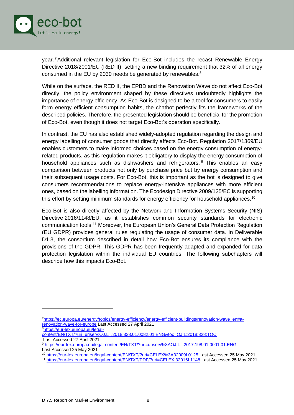

year. <sup>7</sup>Additional relevant legislation for Eco-Bot includes the recast Renewable Energy Directive 2018/2001/EU (RED II), setting a new binding requirement that 32% of all energy consumed in the EU by 2030 needs be generated by renewables. $8$ 

While on the surface, the RED II, the EPBD and the Renovation Wave do not affect Eco-Bot directly, the policy environment shaped by these directives undoubtedly highlights the importance of energy efficiency. As Eco-Bot is designed to be a tool for consumers to easily form energy efficient consumption habits, the chatbot perfectly fits the frameworks of the described policies. Therefore, the presented legislation should be beneficial for the promotion of Eco-Bot, even though it does not target Eco-Bot's operation specifically.

In contrast, the EU has also established widely-adopted regulation regarding the design and energy labelling of consumer goods that directly affects Eco-Bot. Regulation 2017/1369/EU enables customers to make informed choices based on the energy consumption of energyrelated products, as this regulation makes it obligatory to display the energy consumption of household appliances such as dishwashers and refrigerators. <sup>9</sup> This enables an easy comparison between products not only by purchase price but by energy consumption and their subsequent usage costs. For Eco-Bot, this is important as the bot is designed to give consumers recommendations to replace energy-intensive appliances with more efficient ones, based on the labelling information. The Ecodesign Directive 2009/125/EC is supporting this effort by setting minimum standards for energy efficiency for household appliances.<sup>10</sup>

Eco-Bot is also directly affected by the Network and Information Systems Security (NIS) Directive 2016/1148/EU, as it establishes common security standards for electronic communication tools.<sup>11</sup> Moreover, the European Union's General Data Protection Regulation (EU GDPR) provides general rules regulating the usage of consumer data. In Deliverable D1.3, the consortium described in detail how Eco-Bot ensures its compliance with the provisions of the GDPR. This GDPR has been frequently adapted and expanded for data protection legislation within the individual EU countries. The following subchapters will describe how this impacts Eco-Bot.

8[https://eur-lex.europa.eu/legal-](https://eur-lex.europa.eu/legal-content/EN/TXT/?uri=uriserv:OJ.L_.2018.328.01.0082.01.ENG&toc=OJ:L:2018:328:TOC)

<sup>7</sup>[https://ec.europa.eu/energy/topics/energy-efficiency/energy-efficient-buildings/renovation-wave\\_en#a](https://ec.europa.eu/energy/topics/energy-efficiency/energy-efficient-buildings/renovation-wave_en#a-renovation-wave-for-europe)[renovation-wave-for-europe](https://ec.europa.eu/energy/topics/energy-efficiency/energy-efficient-buildings/renovation-wave_en#a-renovation-wave-for-europe) Last Accessed 27 April 2021

[content/EN/TXT/?uri=uriserv:OJ.L\\_.2018.328.01.0082.01.ENG&toc=OJ:L:2018:328:TOC](https://eur-lex.europa.eu/legal-content/EN/TXT/?uri=uriserv:OJ.L_.2018.328.01.0082.01.ENG&toc=OJ:L:2018:328:TOC) Last Accessed 27 April 2021

<sup>9</sup> [https://eur-lex.europa.eu/legal-content/EN/TXT/?uri=uriserv%3AOJ.L\\_.2017.198.01.0001.01.ENG](https://eur-lex.europa.eu/legal-content/EN/TXT/?uri=uriserv%3AOJ.L_.2017.198.01.0001.01.ENG) Last Accessed 25 May 2021

<sup>10</sup> <https://eur-lex.europa.eu/legal-content/EN/TXT/?uri=CELEX%3A32009L0125> Last Accessed 25 May 2021

<sup>11</sup> <https://eur-lex.europa.eu/legal-content/EN/TXT/PDF/?uri=CELEX:32016L1148> Last Accessed 25 May 2021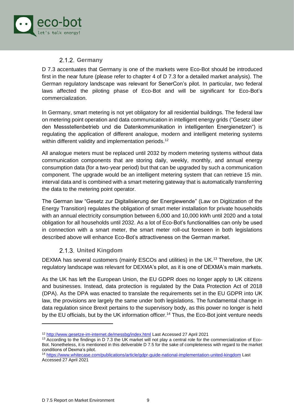

### **Germany**

<span id="page-9-0"></span>D 7.3 accentuates that Germany is one of the markets were Eco-Bot should be introduced first in the near future (please refer to chapter 4 of D 7.3 for a detailed market analysis). The German regulatory landscape was relevant for SenerCon's pilot. In particular, two federal laws affected the piloting phase of Eco-Bot and will be significant for Eco-Bot's commercialization.

In Germany, smart metering is not yet obligatory for all residential buildings. The federal law on metering point operation and data communication in intelligent energy grids ("Gesetz über den Messstellenbetrieb und die Datenkommunikation in intelligenten Energienetzen") is regulating the application of different analogue, modern and intelligent metering systems within different validity and implementation periods.<sup>12</sup>

All analogue meters must be replaced until 2032 by modern metering systems without data communication components that are storing daily, weekly, monthly, and annual energy consumption data (for a two-year period) but that can be upgraded by such a communication component. The upgrade would be an intelligent metering system that can retrieve 15 min. interval data and is combined with a smart metering gateway that is automatically transferring the data to the metering point operator.

The German law "Gesetz zur Digitalisierung der Energiewende" (Law on Digitization of the Energy Transition) regulates the obligation of smart meter installation for private households with an annual electricity consumption between 6,000 and 10,000 kWh until 2020 and a total obligation for all households until 2032. As a lot of Eco-Bot's functionalities can only be used in connection with a smart meter, the smart meter roll-out foreseen in both legislations described above will enhance Eco-Bot's attractiveness on the German market.

#### **United Kingdom**

<span id="page-9-1"></span>DEXMA has several customers (mainly ESCOs and utilities) in the UK.<sup>13</sup> Therefore, the UK regulatory landscape was relevant for DEXMA's pilot, as it is one of DEXMA's main markets.

As the UK has left the European Union, the EU GDPR does no longer apply to UK citizens and businesses. Instead, data protection is regulated by the Data Protection Act of 2018 (DPA). As the DPA was enacted to translate the requirements set in the EU GDPR into UK law, the provisions are largely the same under both legislations. The fundamental change in data regulation since Brexit pertains to the supervisory body, as this power no longer is held by the EU officials, but by the UK information officer.<sup>14</sup> Thus, the Eco-Bot joint venture needs

<sup>12</sup> <http://www.gesetze-im-internet.de/messbg/index.html> Last Accessed 27 April 2021

<sup>&</sup>lt;sup>13</sup> According to the findings in D 7.3 the UK market will not play a central role for the commercialization of Eco-Bot. Nonetheless, it is mentioned in this deliverable D 7.5 for the sake of completeness with regard to the market conditions of Dexma's pilot.

<sup>14</sup> <https://www.whitecase.com/publications/article/gdpr-guide-national-implementation-united-kingdom> Last Accessed 27 April 2021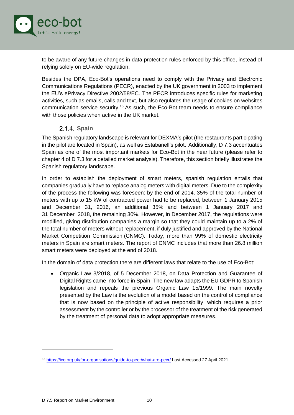

to be aware of any future changes in data protection rules enforced by this office, instead of relying solely on EU-wide regulation.

Besides the DPA, Eco-Bot's operations need to comply with the Privacy and Electronic Communications Regulations (PECR), enacted by the UK government in 2003 to implement the EU's ePrivacy Directive 2002/58/EC. The PECR introduces specific rules for marketing activities, such as emails, calls and text, but also regulates the usage of cookies on websites communication service security.<sup>15</sup> As such, the Eco-Bot team needs to ensure compliance with those policies when active in the UK market.

#### 2.1.4. Spain

<span id="page-10-0"></span>The Spanish regulatory landscape is relevant for DEXMA's pilot (the restaurants participating in the pilot are located in Spain), as well as Estabanell's pilot. Additionally, D 7.3 accentuates Spain as one of the most important markets for Eco-Bot in the near future (please refer to chapter 4 of D 7.3 for a detailed market analysis). Therefore, this section briefly illustrates the Spanish regulatory landscape.

In order to establish the deployment of smart meters, spanish regulation entails that companies gradually have to replace analog meters with digital meters. Due to the complexity of the process the following was foreseen: by the end of 2014, 35% of the total number of meters with up to 15 kW of contracted power had to be replaced, between 1 January 2015 and December 31, 2016, an additional 35% and between 1 January 2017 and 31 December 2018, the remaining 30%. However, in December 2017, the regulations were modified, giving distribution companies a margin so that they could maintain up to a 2% of the total number of meters without replacement, if duly justified and approved by the National Market Competition Commission (CNMC). Today, more than 99% of domestic electricity meters in Spain are smart meters. The report of CNMC includes that more than 26.8 million smart meters were deployed at the end of 2018.

In the domain of data protection there are different laws that relate to the use of Eco-Bot:

• Organic Law 3/2018, of 5 December 2018, on Data Protection and Guarantee of Digital Rights came into force in Spain. The new law adapts the EU GDPR to Spanish legislation and repeals the previous Organic Law 15/1999. The main novelty presented by the Law is the evolution of a model based on the control of compliance that is now based on the principle of active responsibility, which requires a prior assessment by the controller or by the processor of the treatment of the risk generated by the treatment of personal data to adopt appropriate measures.

<sup>15</sup> <https://ico.org.uk/for-organisations/guide-to-pecr/what-are-pecr/> Last Accessed 27 April 2021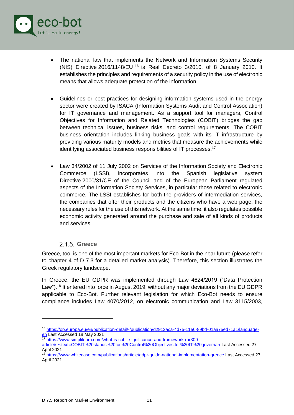

- The national law that implements the Network and Information Systems Security (NIS) Directive 2016/1148/EU <sup>16</sup> is Real Decreto 3/2010, of 8 January 2010. It establishes the principles and requirements of a security policy in the use of electronic means that allows adequate protection of the information.
- Guidelines or best practices for designing information systems used in the energy sector were created by ISACA (Information Systems Audit and Control Association) for IT governance and management. As a support tool for managers, Control Objectives for Information and Related Technologies (COBIT) bridges the gap between technical issues, business risks, and control requirements. The COBIT business orientation includes linking business goals with its IT infrastructure by providing various maturity models and metrics that measure the achievements while identifying associated business responsibilities of IT processes.<sup>17</sup>
- Law 34/2002 of 11 July 2002 on Services of the Information Society and Electronic Commerce (LSSI), incorporates into the Spanish legislative system Directive 2000/31/CE of the Council and of the European Parliament regulated aspects of the Information Society Services, in particular those related to electronic commerce. The LSSI establishes for both the providers of intermediation services, the companies that offer their products and the citizens who have a web page, the necessary rules for the use of this network. At the same time, it also regulates possible economic activity generated around the purchase and sale of all kinds of products and services.

#### **Greece**

<span id="page-11-0"></span>Greece, too, is one of the most important markets for Eco-Bot in the near future (please refer to chapter 4 of D 7.3 for a detailed market analysis). Therefore, this section illustrates the Greek regulatory landscape.

In Greece, the EU GDPR was implemented through Law 4624/2019 ("Data Protection Law").<sup>18</sup> It entered into force in August 2019, without any major deviations from the EU GDPR applicable to Eco-Bot. Further relevant legislation for which Eco-Bot needs to ensure compliance includes Law 4070/2012, on electronic communication and Law 3115/2003,

<sup>16</sup> [https://op.europa.eu/en/publication-detail/-/publication/d2912aca-4d75-11e6-89bd-01aa75ed71a1/language](https://op.europa.eu/en/publication-detail/-/publication/d2912aca-4d75-11e6-89bd-01aa75ed71a1/language-en)[en](https://op.europa.eu/en/publication-detail/-/publication/d2912aca-4d75-11e6-89bd-01aa75ed71a1/language-en) Last Accessed 18 May 2021

<sup>17</sup> [https://www.simplilearn.com/what-is-cobit-significance-and-framework-rar309-](https://www.simplilearn.com/what-is-cobit-significance-and-framework-rar309-article#:~:text=COBIT%20stands%20for%20Control%20Objectives,for%20IT%20governan)

[article#:~:text=COBIT%20stands%20for%20Control%20Objectives,for%20IT%20governan](https://www.simplilearn.com/what-is-cobit-significance-and-framework-rar309-article#:~:text=COBIT%20stands%20for%20Control%20Objectives,for%20IT%20governan) Last Accessed 27 April 2021

<sup>18</sup> <https://www.whitecase.com/publications/article/gdpr-guide-national-implementation-greece> Last Accessed 27 April 2021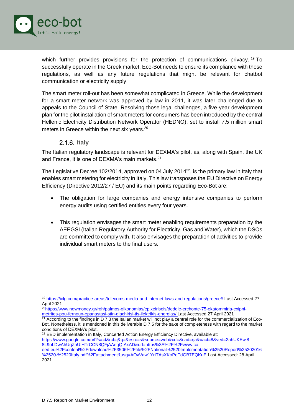

which further provides provisions for the protection of communications privacy.<sup>19</sup> To successfully operate in the Greek market, Eco-Bot needs to ensure its compliance with those regulations, as well as any future regulations that might be relevant for chatbot communication or electricity supply.

The smart meter roll-out has been somewhat complicated in Greece. While the development for a smart meter network was approved by law in 2011, it was later challenged due to appeals to the Council of State. Resolving those legal challenges, a five-year development plan for the pilot installation of smart meters for consumers has been introduced by the central Hellenic Electricity Distribution Network Operator (HEDNO), set to install 7.5 million smart meters in Greece within the next six years.<sup>20</sup>

#### **Italy**

<span id="page-12-0"></span>The Italian regulatory landscape is relevant for DEXMA's pilot, as, along with Spain, the UK and France, it is one of DEXMA's main markets.<sup>21</sup>

The Legislative Decree 102/2014, approved on 04 July 2014<sup>22</sup>, is the primary law in Italy that enables smart metering for electricity in Italy. This law transposes the EU Directive on Energy Efficiency (Directive 2012/27 / EU) and its main points regarding Eco-Bot are:

- The obligation for large companies and energy intensive companies to perform energy audits using certified entities every four years.
- This regulation envisages the smart meter enabling requirements preparation by the AEEGSI (Italian Regulatory Authority for Electricity, Gas and Water), which the DSOs are committed to comply with. It also envisages the preparation of activities to provide individual smart meters to the final users.

<sup>22</sup> EED implementation in Italy, Concerted Action Energy Efficiency Directive, available at: [https://www.google.com/url?sa=t&rct=j&q=&esrc=s&source=web&cd=&cad=rja&uact=8&ved=2ahUKEwi8-](https://www.google.com/url?sa=t&rct=j&q=&esrc=s&source=web&cd=&cad=rja&uact=8&ved=2ahUKEwi8-8L9oLDwAhUqZhUIHTrCCN8QFjAAegQIAxAD&url=https%3A%2F%2Fwww.ca-eed.eu%2Fcontent%2Fdownload%2F3506%2Ffile%2FNational%2520Implementation%2520Report%25202016%2520-%2520Italy.pdf%2Fattachment&usg=AOvVaw1YrITAsXKoPqTdGB7EQKuE)

<sup>19</sup> [https://iclg.com/practice-areas/telecoms-media-and-internet-laws-and-regulations/greece#](https://iclg.com/practice-areas/telecoms-media-and-internet-laws-and-regulations/greece) Last Accessed 27 April 2021

<sup>20</sup>[https://www.newmoney.gr/roh/palmos-oikonomias/epixeiriseis/deddie-erchonte-75-ekatommiria-exipni](https://www.newmoney.gr/roh/palmos-oikonomias/epixeiriseis/deddie-erchonte-75-ekatommiria-exipni-metrites-pou-fernoun-epanastasi-stin-diachirisi-tis-ilektrikis-energias/)[metrites-pou-fernoun-epanastasi-stin-diachirisi-tis-ilektrikis-energias/](https://www.newmoney.gr/roh/palmos-oikonomias/epixeiriseis/deddie-erchonte-75-ekatommiria-exipni-metrites-pou-fernoun-epanastasi-stin-diachirisi-tis-ilektrikis-energias/) Last Accessed 27 April 2021

 $21$  According to the findings in D 7.3 the Italian market will not play a central role for the commercialization of Eco-Bot. Nonetheless, it is mentioned in this deliverable D 7.5 for the sake of completeness with regard to the market conditions of DEXMA's pilot.

[<sup>8</sup>L9oLDwAhUqZhUIHTrCCN8QFjAAegQIAxAD&url=https%3A%2F%2Fwww.ca-](https://www.google.com/url?sa=t&rct=j&q=&esrc=s&source=web&cd=&cad=rja&uact=8&ved=2ahUKEwi8-8L9oLDwAhUqZhUIHTrCCN8QFjAAegQIAxAD&url=https%3A%2F%2Fwww.ca-eed.eu%2Fcontent%2Fdownload%2F3506%2Ffile%2FNational%2520Implementation%2520Report%25202016%2520-%2520Italy.pdf%2Fattachment&usg=AOvVaw1YrITAsXKoPqTdGB7EQKuE)

[eed.eu%2Fcontent%2Fdownload%2F3506%2Ffile%2FNational%2520Implementation%2520Report%25202016](https://www.google.com/url?sa=t&rct=j&q=&esrc=s&source=web&cd=&cad=rja&uact=8&ved=2ahUKEwi8-8L9oLDwAhUqZhUIHTrCCN8QFjAAegQIAxAD&url=https%3A%2F%2Fwww.ca-eed.eu%2Fcontent%2Fdownload%2F3506%2Ffile%2FNational%2520Implementation%2520Report%25202016%2520-%2520Italy.pdf%2Fattachment&usg=AOvVaw1YrITAsXKoPqTdGB7EQKuE) [%2520-%2520Italy.pdf%2Fattachment&usg=AOvVaw1YrITAsXKoPqTdGB7EQKuE](https://www.google.com/url?sa=t&rct=j&q=&esrc=s&source=web&cd=&cad=rja&uact=8&ved=2ahUKEwi8-8L9oLDwAhUqZhUIHTrCCN8QFjAAegQIAxAD&url=https%3A%2F%2Fwww.ca-eed.eu%2Fcontent%2Fdownload%2F3506%2Ffile%2FNational%2520Implementation%2520Report%25202016%2520-%2520Italy.pdf%2Fattachment&usg=AOvVaw1YrITAsXKoPqTdGB7EQKuE) Last Accessed: 28 April 2021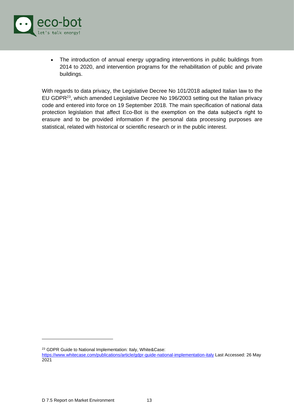

• The introduction of annual energy upgrading interventions in public buildings from 2014 to 2020, and intervention programs for the rehabilitation of public and private buildings.

With regards to data privacy, the Legislative Decree No 101/2018 adapted Italian law to the EU GDPR<sup>23</sup>, which amended Legislative Decree No 196/2003 setting out the Italian privacy code and entered into force on 19 September 2018. The main specification of national data protection legislation that affect Eco-Bot is the exemption on the data subject's right to erasure and to be provided information if the personal data processing purposes are statistical, related with historical or scientific research or in the public interest.

<sup>23</sup> GDPR Guide to National Implementation: Italy, White&Case:

<https://www.whitecase.com/publications/article/gdpr-guide-national-implementation-italy> Last Accessed: 26 May 2021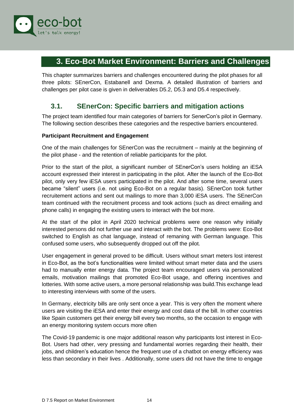

### <span id="page-14-0"></span>**3. Eco-Bot Market Environment: Barriers and Challenges**

This chapter summarizes barriers and challenges encountered during the pilot phases for all three pilots: SEnerCon, Estabanell and Dexma. A detailed illustration of barriers and challenges per pilot case is given in deliverables D5.2, D5.3 and D5.4 respectively.

### <span id="page-14-1"></span>**3.1. SEnerCon: Specific barriers and mitigation actions**

The project team identified four main categories of barriers for SenerCon's pilot in Germany. The following section describes these categories and the respective barriers encountered.

#### **Participant Recruitment and Engagement**

One of the main challenges for SEnerCon was the recruitment – mainly at the beginning of the pilot phase - and the retention of reliable participants for the pilot.

Prior to the start of the pilot, a significant number of SEnerCon's users holding an iESA account expressed their interest in participating in the pilot. After the launch of the Eco-Bot pilot, only very few iESA users participated in the pilot. And after some time, several users became "silent" users (i.e. not using Eco-Bot on a regular basis). SEnerCon took further recruitement actions and sent out mailings to more than 3,000 iESA users. The SEnerCon team continued with the recruitment process and took actions (such as direct emailing and phone calls) in engaging the existing users to interact with the bot more.

At the start of the pilot in April 2020 technical problems were one reason why initially interested persons did not further use and interact with the bot. The problems were: Eco-Bot switched to English as chat language, instead of remaning with German language. This confused some users, who subsequently dropped out off the pilot.

User engagement in general proved to be difficult. Users without smart meters lost interest in Eco-Bot, as the bot's functionalities were limited without smart meter data and the users had to manually enter energy data. The project team encouraged users via personalized emails, motivation mailings that promoted Eco-Bot usage, and offering incentives and lotteries. With some active users, a more personal relationship was build.This exchange lead to interesting interviews with some of the users.

In Germany, electricity bills are only sent once a year. This is very often the moment where users are visiting the iESA and enter their energy and cost data of the bill. In other countries like Spain customers get their energy bill every two months, so the occasion to engage with an energy monitoring system occurs more often

The Covid-19 pandemic is one major additional reason why participants lost interest in Eco-Bot. Users had other, very pressing and fundamental worries regarding their health, their jobs, and children's education hence the frequent use of a chatbot on energy efficiency was less than secondary in their lives . Additionally, some users did not have the time to engage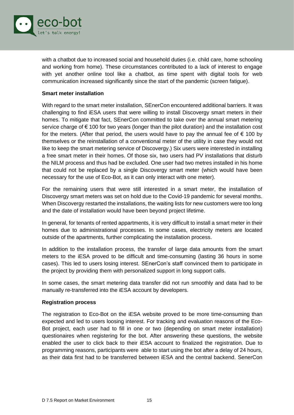

with a chatbot due to increased social and household duties (i.e. child care, home schooling and working from home). These circumstances contributed to a lack of interest to engage with yet another online tool like a chatbot, as time spent with digital tools for web communication increased significantly since the start of the pandemic (screen fatigue).

#### **Smart meter installation**

With regard to the smart meter installation, SEnerCon encountered additional barriers. It was challenging to find iESA users that were willing to install Discovergy smart meters in their homes. To mitigate that fact, SEnerCon committed to take over the annual smart metering service charge of € 100 for two years (longer than the pilot duration) and the installation cost for the meters. (After that period, the users would have to pay the annual fee of  $\epsilon$  100 by themselves or the reinstallation of a conventional meter of the utility in case they would not like to keep the smart metering service of Discovergy.) Six users were interested in installing a free smart meter in their homes. Of those six, two users had PV installations that disturb the NILM process and thus had be excluded. One user had two metres installed in his home that could not be replaced by a single Discovergy smart meter (which would have been necessary for the use of Eco-Bot, as it can only interact with one meter).

For the remaining users that were still interested in a smart meter, the installation of Discovergy smart meters was set on hold due to the Covid-19 pandemic for several months. When Discovergy restarted the installations, the waiting lists for new customers were too long and the date of installation would have been beyond project lifetime.

In general, for tenants of rented appartments, it is very difficult to install a smart meter in their homes due to administrational processes. In some cases, electricity meters are located outside of the apartments, further complicating the installation process.

In addition to the installation process, the transfer of large data amounts from the smart meters to the iESA proved to be difficult and time-consuming (lasting 36 hours in some cases). This led to users losing interest. SEnerCon's staff convinced them to participate in the project by providing them with personalized support in long support calls.

In some cases, the smart metering data transfer did not run smoothly and data had to be manually re-transferred into the iESA account by developers.

#### **Registration process**

The registration to Eco-Bot on the iESA website proved to be more time-consuming than expected and led to users loosing interest. For tracking and evaluation reasons of the Eco-Bot project, each user had to fill in one or two (depending on smart meter installation) questionaires when registering for the bot. After answering these questions, the website enabled the user to click back to their iESA account to finalized the registration. Due to programming reasons, participants were able to start using the bot after a delay of 24 hours, as their data first had to be transferred between iESA and the central backend. SenerCon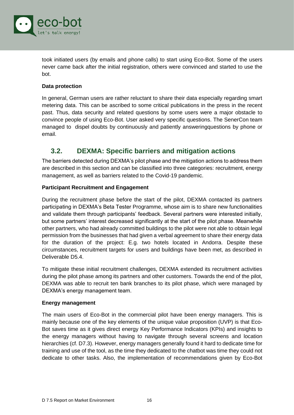

took initiated users (by emails and phone calls) to start using Eco-Bot. Some of the users never came back after the initial registration, others were convinced and started to use the bot.

#### **Data protection**

In general, German users are rather reluctant to share their data especially regarding smart metering data. This can be ascribed to some critical publications in the press in the recent past. Thus, data security and related questions by some users were a major obstacle to convince people of using Eco-Bot. User asked very specific questions. The SenerCon team managed to dispel doubts by continuously and patiently answeringquestions by phone or email.

### <span id="page-16-0"></span>**3.2. DEXMA: Specific barriers and mitigation actions**

The barriers detected during DEXMA's pilot phase and the mitigation actions to address them are described in this section and can be classified into three categories: recruitment, energy management, as well as barriers related to the Covid-19 pandemic.

#### **Participant Recruitment and Engagement**

During the recruitment phase before the start of the pilot, DEXMA contacted its partners participating in DEXMA's Beta Tester Programme, whose aim is to share new functionalities and validate them through participants' feedback. Several partners were interested initially, but some partners' interest decreased significantly at the start of the pilot phase. Meanwhile other partners, who had already committed buildings to the pilot were not able to obtain legal permission from the businesses that had given a verbal agreement to share their energy data for the duration of the project: E.g. two hotels located in Andorra. Despite these circumstances, recruitment targets for users and buildings have been met, as described in Deliverable D5.4.

To mitigate these initial recruitment challenges, DEXMA extended its recruitment activities during the pilot phase among its partners and other customers. Towards the end of the pilot, DEXMA was able to recruit ten bank branches to its pilot phase, which were managed by DEXMA's energy management team.

#### **Energy management**

The main users of Eco-Bot in the commercial pilot have been energy managers. This is mainly because one of the key elements of the unique value proposition (UVP) is that Eco-Bot saves time as it gives direct energy Key Performance Indicators (KPIs) and insights to the energy managers without having to navigate through several screens and location hierarchies (cf. D7.3). However, energy managers generally found it hard to dedicate time for training and use of the tool, as the time they dedicated to the chatbot was time they could not dedicate to other tasks. Also, the implementation of recommendations given by Eco-Bot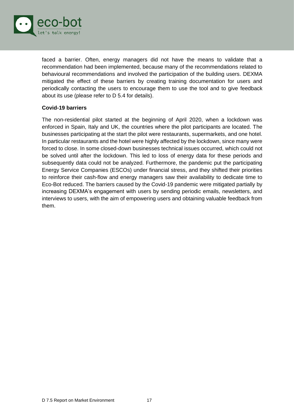

faced a barrier. Often, energy managers did not have the means to validate that a recommendation had been implemented, because many of the recommendations related to behavioural recommendations and involved the participation of the building users. DEXMA mitigated the effect of these barriers by creating training documentation for users and periodically contacting the users to encourage them to use the tool and to give feedback about its use (please refer to D 5.4 for details).

#### **Covid-19 barriers**

The non-residential pilot started at the beginning of April 2020, when a lockdown was enforced in Spain, Italy and UK, the countries where the pilot participants are located. The businesses participating at the start the pilot were restaurants, supermarkets, and one hotel. In particular restaurants and the hotel were highly affected by the lockdown, since many were forced to close. In some closed-down businesses technical issues occurred, which could not be solved until after the lockdown. This led to loss of energy data for these periods and subsequently data could not be analyzed. Furthermore, the pandemic put the participating Energy Service Companies (ESCOs) under financial stress, and they shifted their priorities to reinforce their cash-flow and energy managers saw their availability to dedicate time to Eco-Bot reduced. The barriers caused by the Covid-19 pandemic were mitigated partially by increasing DEXMA's engagement with users by sending periodic emails, newsletters, and interviews to users, with the aim of empowering users and obtaining valuable feedback from them.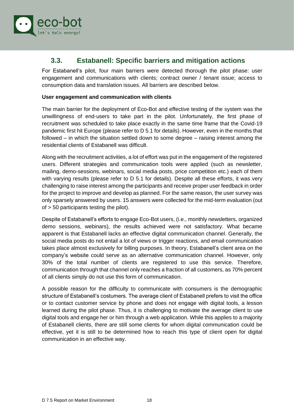

### <span id="page-18-0"></span>**3.3. Estabanell: Specific barriers and mitigation actions**

For Estabanell's pilot, four main barriers were detected thorough the pilot phase: user engagement and communications with clients; contract owner / tenant issue; access to consumption data and translation issues. All barriers are described below.

#### **User engagement and communication with clients**

The main barrier for the deployment of Eco-Bot and effective testing of the system was the unwillingness of end-users to take part in the pilot. Unfortunately, the first phase of recruitment was scheduled to take place exactly in the same time frame that the Covid-19 pandemic first hit Europe (please refer to D 5.1 for details). However, even in the months that followed – in which the situation settled down to some degree – raising interest among the residential clients of Estabanell was difficult.

Along with the recruitment activities, a lot of effort was put in the engagement of the registered users. Different strategies and communication tools were applied (such as newsletter, mailing, demo-sessions, webinars, social media posts, price competition etc.) each of them with varying results (please refer to D 5.1 for details). Despite all these efforts, it was very challenging to raise interest among the participants and receive proper user feedback in order for the project to improve and develop as planned. For the same reason, the user survey was only sparsely answered by users. 15 answers were collected for the mid-term evaluation (out of > 50 participants testing the pilot).

Despite of Estabanell's efforts to engage Eco-Bot users, (i.e., monthly newsletters, organized demo sessions, webinars), the results achieved were not satisfactory. What became apparent is that Estabanell lacks an effective digital communication channel. Generally, the social media posts do not entail a lot of views or trigger reactions, and email communication takes place almost exclusively for billing purposes. In theory, Estabanell's client area on the company's website could serve as an alternative communication channel. However, only 30% of the total number of clients are registered to use this service. Therefore, communication through that channel only reaches a fraction of all customers, as 70% percent of all clients simply do not use this form of communication.

A possible reason for the difficulty to communicate with consumers is the demographic structure of Estabanell's costumers. The average client of Estabanell prefers to visit the office or to contact customer service by phone and does not engage with digital tools, a lesson learned during the pilot phase. Thus, it is challenging to motivate the average client to use digital tools and engage her or him through a web application. While this applies to a majority of Estabanell clients, there are still some clients for whom digital communication could be effective, yet it is still to be determined how to reach this type of client open for digital communication in an effective way.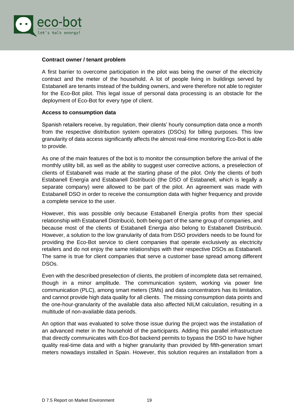

#### **Contract owner / tenant problem**

A first barrier to overcome participation in the pilot was being the owner of the electricity contract and the meter of the household. A lot of people living in buildings served by Estabanell are tenants instead of the building owners, and were therefore not able to register for the Eco-Bot pilot. This legal issue of personal data processing is an obstacle for the deployment of Eco-Bot for every type of client.

#### **Access to consumption data**

Spanish retailers receive, by regulation, their clients' hourly consumption data once a month from the respective distribution system operators (DSOs) for billing purposes. This low granularity of data access significantly affects the almost real-time monitoring Eco-Bot is able to provide.

As one of the main features of the bot is to monitor the consumption before the arrival of the monthly utility bill, as well as the ability to suggest user corrective actions, a preselection of clients of Estabanell was made at the starting phase of the pilot. Only the clients of both Estabanell Energía and Estabanell Distribució (the DSO of Estabanell, which is legally a separate company) were allowed to be part of the pilot. An agreement was made with Estabanell DSO in order to receive the consumption data with higher frequency and provide a complete service to the user.

However, this was possible only because Estabanell Energía profits from their special relationship with Estabanell Distribució, both being part of the same group of companies, and because most of the clients of Estabanell Energia also belong to Estabanell Distribució. However, a solution to the low granularity of data from DSO providers needs to be found for providing the Eco-Bot service to client companies that operate exclusively as electricity retailers and do not enjoy the same relationships with their respective DSOs as Estabanell. The same is true for client companies that serve a customer base spread among different DSOs.

Even with the described preselection of clients, the problem of incomplete data set remained, though in a minor amplitude. The communication system, working via power line communication (PLC), among smart meters (SMs) and data concentrators has its limitation, and cannot provide high data quality for all clients. The missing consumption data points and the one-hour-granularity of the available data also affected NILM calculation, resulting in a multitude of non-available data periods.

An option that was evaluated to solve those issue during the project was the installation of an advanced meter in the household of the participants. Adding this parallel infrastructure that directly communicates with Eco-Bot backend permits to bypass the DSO to have higher quality real-time data and with a higher granularity than provided by fifth-generation smart meters nowadays installed in Spain. However, this solution requires an installation from a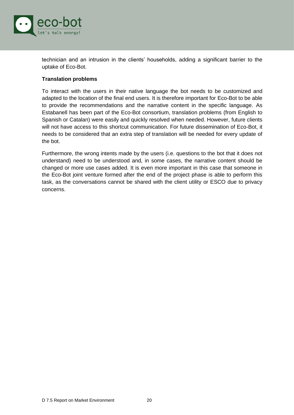

technician and an intrusion in the clients' households, adding a significant barrier to the uptake of Eco-Bot.

#### **Translation problems**

To interact with the users in their native language the bot needs to be customized and adapted to the location of the final end users. It is therefore important for Eco-Bot to be able to provide the recommendations and the narrative content in the specific language. As Estabanell has been part of the Eco-Bot consortium, translation problems (from English to Spanish or Catalan) were easily and quickly resolved when needed. However, future clients will not have access to this shortcut communication. For future dissemination of Eco-Bot, it needs to be considered that an extra step of translation will be needed for every update of the bot.

Furthermore, the wrong intents made by the users (i.e. questions to the bot that it does not understand) need to be understood and, in some cases, the narrative content should be changed or more use cases added. It is even more important in this case that someone in the Eco-Bot joint venture formed after the end of the project phase is able to perform this task, as the conversations cannot be shared with the client utility or ESCO due to privacy concerns.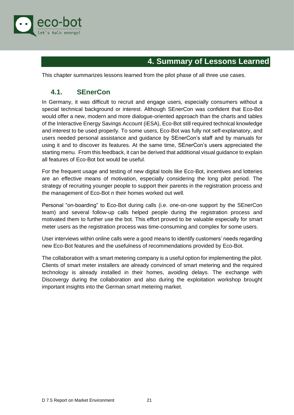

# **4. Summary of Lessons Learned**

<span id="page-21-0"></span>This chapter summarizes lessons learned from the pilot phase of all three use cases.

### <span id="page-21-1"></span>**4.1. SEnerCon**

In Germany, it was difficult to recruit and engage users, especially consumers without a special technical background or interest. Although SEnerCon was confident that Eco-Bot would offer a new, modern and more dialogue-oriented approach than the charts and tables of the Interactive Energy Savings Account (iESA), Eco-Bot still required technical knowledge and interest to be used properly. To some users, Eco-Bot was fully not self-explanatory, and users needed personal assistance and guidance by SEnerCon's staff and by manuals for using it and to discover its features. At the same time, SEnerCon's users appreciated the starting menu. From this feedback, it can be derived that additional visual guidance to explain all features of Eco-Bot bot would be useful.

For the frequent usage and testing of new digital tools like Eco-Bot, incentives and lotteries are an effective means of motivation, especially considering the long pilot period. The strategy of recruiting younger people to support their parents in the registration process and the management of Eco-Bot n their homes worked out well.

Personal "on-boarding" to Eco-Bot during calls (i.e. one-on-one support by the SEnerCon team) and several follow-up calls helped people during the registration process and motivated them to further use the bot. This effort proved to be valuable especially for smart meter users as the registration process was time-consuming and complex for some users.

User interviews within online calls were a good means to identify customers' needs regarding new Eco-Bot features and the usefulness of recommendations provided by Eco-Bot.

The collaboration with a smart metering company is a useful option for implementing the pilot. Clients of smart meter installers are already convinced of smart metering and the required technology is already installed in their homes, avoiding delays. The exchange with Discovergy during the collaboration and also during the exploitation workshop brought important insights into the German smart metering market.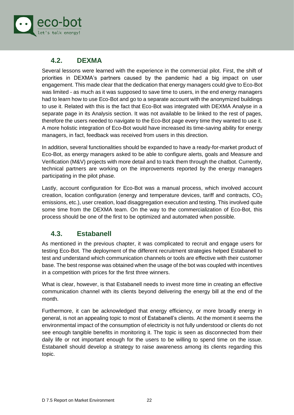

### <span id="page-22-0"></span>**4.2. DEXMA**

Several lessons were learned with the experience in the commercial pilot. First, the shift of priorities in DEXMA's partners caused by the pandemic had a big impact on user engagement. This made clear that the dedication that energy managers could give to Eco-Bot was limited - as much as it was supposed to save time to users, in the end energy managers had to learn how to use Eco-Bot and go to a separate account with the anonymized buildings to use it. Related with this is the fact that Eco-Bot was integrated with DEXMA Analyse in a separate page in its Analysis section. It was not available to be linked to the rest of pages, therefore the users needed to navigate to the Eco-Bot page every time they wanted to use it. A more holistic integration of Eco-Bot would have increased its time-saving ability for energy managers, in fact, feedback was received from users in this direction.

In addition, several functionalities should be expanded to have a ready-for-market product of Eco-Bot, as energy managers asked to be able to configure alerts, goals and Measure and Verification (M&V) projects with more detail and to track them through the chatbot. Currently, technical partners are working on the improvements reported by the energy managers participating in the pilot phase.

Lastly, account configuration for Eco-Bot was a manual process, which involved account creation, location configuration (energy and temperature devices, tariff and contracts, CO<sub>2</sub> emissions, etc.), user creation, load disaggregation execution and testing. This involved quite some time from the DEXMA team. On the way to the commercialization of Eco-Bot, this process should be one of the first to be optimized and automated when possible.

### <span id="page-22-1"></span>**4.3. Estabanell**

As mentioned in the previous chapter, it was complicated to recruit and engage users for testing Eco-Bot. The deployment of the different recruitment strategies helped Estabanell to test and understand which communication channels or tools are effective with their customer base. The best response was obtained when the usage of the bot was coupled with incentives in a competition with prices for the first three winners.

What is clear, however, is that Estabanell needs to invest more time in creating an effective communication channel with its clients beyond delivering the energy bill at the end of the month.

Furthermore, it can be acknowledged that energy efficiency, or more broadly energy in general, is not an appealing topic to most of Estabanell's clients. At the moment it seems the environmental impact of the consumption of electricity is not fully understood or clients do not see enough tangible benefits in monitoring it. The topic is seen as disconnected from their daily life or not important enough for the users to be willing to spend time on the issue. Estabanell should develop a strategy to raise awareness among its clients regarding this topic.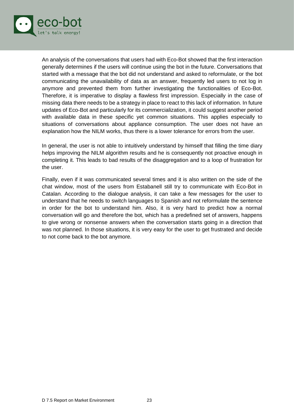

An analysis of the conversations that users had with Eco-Bot showed that the first interaction generally determines if the users will continue using the bot in the future. Conversations that started with a message that the bot did not understand and asked to reformulate, or the bot communicating the unavailability of data as an answer, frequently led users to not log in anymore and prevented them from further investigating the functionalities of Eco-Bot. Therefore, it is imperative to display a flawless first impression. Especially in the case of missing data there needs to be a strategy in place to react to this lack of information. In future updates of Eco-Bot and particularly for its commercialization, it could suggest another period with available data in these specific yet common situations. This applies especially to situations of conversations about appliance consumption. The user does not have an explanation how the NILM works, thus there is a lower tolerance for errors from the user.

In general, the user is not able to intuitively understand by himself that filling the time diary helps improving the NILM algorithm results and he is consequently not proactive enough in completing it. This leads to bad results of the disaggregation and to a loop of frustration for the user.

Finally, even if it was communicated several times and it is also written on the side of the chat window, most of the users from Estabanell still try to communicate with Eco-Bot in Catalan. According to the dialogue analysis, it can take a few messages for the user to understand that he needs to switch languages to Spanish and not reformulate the sentence in order for the bot to understand him. Also, it is very hard to predict how a normal conversation will go and therefore the bot, which has a predefined set of answers, happens to give wrong or nonsense answers when the conversation starts going in a direction that was not planned. In those situations, it is very easy for the user to get frustrated and decide to not come back to the bot anymore.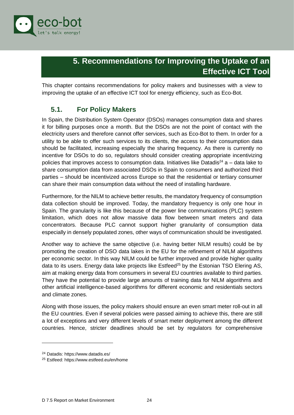

## **5. Recommendations for Improving the Uptake of an Effective ICT Tool**

<span id="page-24-0"></span>This chapter contains recommendations for policy makers and businesses with a view to improving the uptake of an effective ICT tool for energy efficiency, such as Eco-Bot.

### <span id="page-24-1"></span>**5.1. For Policy Makers**

In Spain, the Distribution System Operator (DSOs) manages consumption data and shares it for billing purposes once a month. But the DSOs are not the point of contact with the electricity users and therefore cannot offer services, such as Eco-Bot to them. In order for a utility to be able to offer such services to its clients, the access to their consumption data should be facilitated, increasing especially the sharing frequency. As there is currently no incentive for DSOs to do so, regulators should consider creating appropriate incentivizing policies that improves access to consumption data. Initiatives like Datadis<sup>24</sup> a – data lake to share consumption data from associated DSOs in Spain to consumers and authorized third parties – should be incentivized across Europe so that the residential or tertiary consumer can share their main consumption data without the need of installing hardware.

Furthermore, for the NILM to achieve better results, the mandatory frequency of consumption data collection should be improved. Today, the mandatory frequency is only one hour in Spain. The granularity is like this because of the power line communications (PLC) system limitation, which does not allow massive data flow between smart meters and data concentrators. Because PLC cannot support higher granularity of consumption data especially in densely populated zones, other ways of communication should be investigated.

Another way to achieve the same objective (i.e. having better NILM results) could be by promoting the creation of DSO data lakes in the EU for the refinement of NILM algorithms per economic sector. In this way NILM could be further improved and provide higher quality data to its users. Energy data lake projects like Estfeed<sup>25</sup> by the Estonian TSO Elering AS, aim at making energy data from consumers in several EU countries available to third parties. They have the potential to provide large amounts of training data for NILM algorithms and other artificial intelligence-based algorithms for different economic and residentials sectors and climate zones.

Along with those issues, the policy makers should ensure an even smart meter roll-out in all the EU countries. Even if several policies were passed aiming to achieve this, there are still a lot of exceptions and very different levels of smart meter deployment among the different countries. Hence, stricter deadlines should be set by regulators for comprehensive

<sup>24</sup> Datadis: https://www.datadis.es/

<sup>25</sup> Estfeed: https://www.estfeed.eu/en/home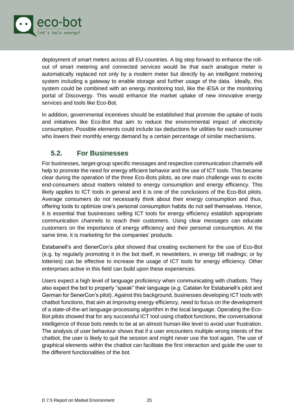

deployment of smart meters across all EU-countries. A big step forward to enhance the rollout of smart metering and connected services would be that each analogue meter is automatically replaced not only by a modern meter but directly by an intelligent metering system including a gateway to enable storage and further usage of the data. Ideally, this system could be combined with an energy monitoring tool, like the iESA or the monitoring portal of Discovergy. This would enhance the market uptake of new innovative energy services and tools like Eco-Bot.

In addition, governmental incentives should be established that promote the uptake of tools and initiatives like Eco-Bot that aim to reduce the environmental impact of electricity consumption. Possible elements could include tax deductions for utilities for each consumer who lowers their monthly energy demand by a certain percentage of similar mechanisms.

### <span id="page-25-0"></span>**5.2. For Businesses**

For businesses, target-group specific messages and respective communication channels will help to promote the need for energy efficient behavior and the use of ICT tools. This became clear during the operation of the three Eco-Bots pilots, as one main challenge was to excite end-consumers about matters related to energy consumption and energy efficiency. This likely applies to ICT tools in general and it is one of the conclusions of the Eco-Bot pilots. Average consumers do not necessarily think about their energy consumption and thus, offering tools to optimize one's personal consumption habits do not sell themselves. Hence, it is essential that businesses selling ICT tools for energy efficiency establish appropriate communication channels to reach their customers. Using clear messages can educate customers on the importance of energy efficiency and their personal consumption. At the same time, it is marketing for the companies' products.

Estabanell's and SenerCon's pilot showed that creating excitement for the use of Eco-Bot (e.g. by regularly promoting it in the bot itself, in newsletters, in energy bill mailings; or by lotteries) can be effective to increase the usage of ICT tools for energy efficiency. Other enterprises active in this field can build upon these experiences.

Users expect a high level of language proficiency when communicating with chatbots. They also expect the bot to properly "speak" their language (e.g. Catalan for Estabanell's pilot and German for SenerCon's pilot). Against this background, businesses developing ICT tools with chatbot functions, that aim at improving energy efficiency, need to focus on the development of a state-of-the-art language-processing algorithm in the local language. Operating the Eco-Bot pilots showed that for any successful ICT tool using chatbot functions, the conversational intelligence of those bots needs to be at an almost human-like level to avoid user frustration. The analysis of user behaviour shows that if a user encounters multiple wrong intents of the chatbot, the user is likely to quit the session and might never use the tool again. The use of graphical elements within the chatbot can facilitate the first interaction and guide the user to the different functionalities of the bot.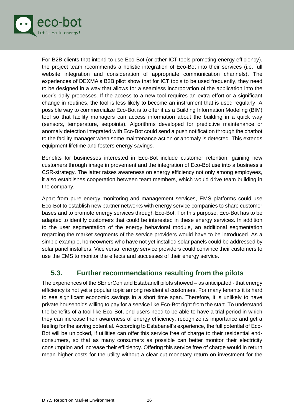

For B2B clients that intend to use Eco-Bot (or other ICT tools promoting energy efficiency), the project team recommends a holistic integration of Eco-Bot into their services (i.e. full website integration and consideration of appropriate communication channels). The experiences of DEXMA's B2B pilot show that for ICT tools to be used frequently, they need to be designed in a way that allows for a seamless incorporation of the application into the user's daily processes. If the access to a new tool requires an extra effort or a significant change in routines, the tool is less likely to become an instrument that is used regularly. A possible way to commercialize Eco-Bot is to offer it as a Building Information Modeling (BIM) tool so that facility managers can access information about the building in a quick way (sensors, temperature, setpoints). Algorithms developed for predictive maintenance or anomaly detection integrated with Eco-Bot could send a push notification through the chatbot to the facility manager when some maintenance action or anomaly is detected. This extends equipment lifetime and fosters energy savings.

Benefits for businesses interested in Eco-Bot include customer retention, gaining new customers through image improvement and the integration of Eco-Bot use into a business's CSR-strategy. The latter raises awareness on energy efficiency not only among employees, it also establishes cooperation between team members, which would drive team building in the company.

Apart from pure energy monitoring and management services, EMS platforms could use Eco-Bot to establish new partner networks with energy service companies to share customer bases and to promote energy services through Eco-Bot. For this purpose, Eco-Bot has to be adapted to identify customers that could be interested in these energy services. In addition to the user segmentation of the energy behavioral module, an additional segmentation regarding the market segments of the service providers would have to be introduced. As a simple example, homeowners who have not yet installed solar panels could be addressed by solar panel installers. Vice versa, energy service providers could convince their customers to use the EMS to monitor the effects and successes of their energy service.

### <span id="page-26-0"></span>**5.3. Further recommendations resulting from the pilots**

The experiences of the SEnerCon and Estabanell pilots showed – as anticipated - that energy efficiency is not yet a popular topic among residential customers. For many tenants it is hard to see significant economic savings in a short time span. Therefore, it is unlikely to have private households willing to pay for a service like Eco-Bot right from the start. To understand the benefits of a tool like Eco-Bot, end-users need to be able to have a trial period in which they can increase their awareness of energy efficiency, recognize its importance and get a feeling for the saving potential. According to Estabanell's experience, the full potential of Eco-Bot will be unlocked, if utilities can offer this service free of charge to their residential endconsumers, so that as many consumers as possible can better monitor their electricity consumption and increase their efficiency. Offering this service free of charge would in return mean higher costs for the utility without a clear-cut monetary return on investment for the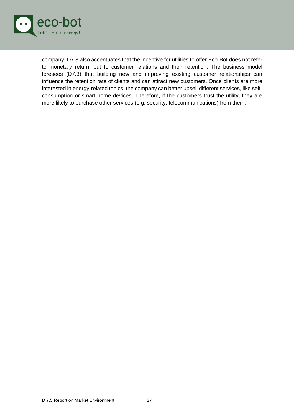

<span id="page-27-0"></span>company. D7.3 also accentuates that the incentive for utilities to offer Eco-Bot does not refer to monetary return, but to customer relations and their retention. The business model foresees (D7.3) that building new and improving existing customer relationships can influence the retention rate of clients and can attract new customers. Once clients are more interested in energy-related topics, the company can better upsell different services, like selfconsumption or smart home devices. Therefore, if the customers trust the utility, they are more likely to purchase other services (e.g. security, telecommunications) from them.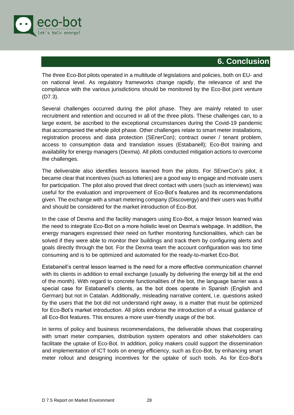

### **6. Conclusion**

The three Eco-Bot pilots operated in a multitude of legislations and policies, both on EU- and on national level. As regulatory frameworks change rapidly, the relevance of and the compliance with the various jurisdictions should be monitored by the Eco-Bot joint venture (D7.3).

Several challenges occurred during the pilot phase. They are mainly related to user recruitment and retention and occurred in all of the three pilots. These challenges can, to a large extent, be ascribed to the exceptional circumstances during the Covid-19 pandemic that accompanied the whole pilot phase. Other challenges relate to smart meter installations, registration process and data protection (SEnerCon); contract owner / tenant problem, access to consumption data and translation issues (Estabanell); Eco-Bot training and availability for energy managers (Dexma). All pilots conducted mitigation actions to overcome the challenges.

The deliverable also identifies lessons learned from the pilots. For SEnerCon's pilot, it became clear that incentives (such as lotteries) are a good way to engage and motivate users for participation. The pilot also proved that direct contact with users (such as interviews) was useful for the evaluation and improvement of Eco-Bot's features and its recommendations given. The exchange with a smart metering company (Discovergy) and their users was fruitful and should be considered for the market introduction of Eco-Bot.

In the case of Dexma and the facility managers using Eco-Bot, a major lesson learned was the need to integrate Eco-Bot on a more holistic level on Dexma's webpage. In addition, the energy managers expressed their need on further monitoring functionalities, which can be solved if they were able to monitor their buildings and track them by configuring alerts and goals directly through the bot. For the Dexma team the account configuration was too time consuming and is to be optimized and automated for the ready-to-market Eco-Bot.

Estabanell's central lesson learned is the need for a more effective communication channel with its clients in addition to email exchange (usually by delivering the energy bill at the end of the month). With regard to concrete functionalities of the bot, the language barrier was a special case for Estabanell's clients, as the bot does operate in Spanish (English and German) but not in Catalan. Additionally, misleading narrative content, i.e. questions asked by the users that the bot did not understand right away, is a matter that must be optimized for Eco-Bot's market introduction. All pilots endorse the introduction of a visual guidance of all Eco-Bot features. This ensures a more user-friendly usage of the bot.

In terms of policy and business recommendations, the deliverable shows that cooperating with smart meter companies, distribution system operators and other stakeholders can facilitate the uptake of Eco-Bot. In addition, policy makers could support the dissemination and implementation of ICT tools on energy efficiency, such as Eco-Bot, by enhancing smart meter rollout and designing incentives for the uptake of such tools. As for Eco-Bot's